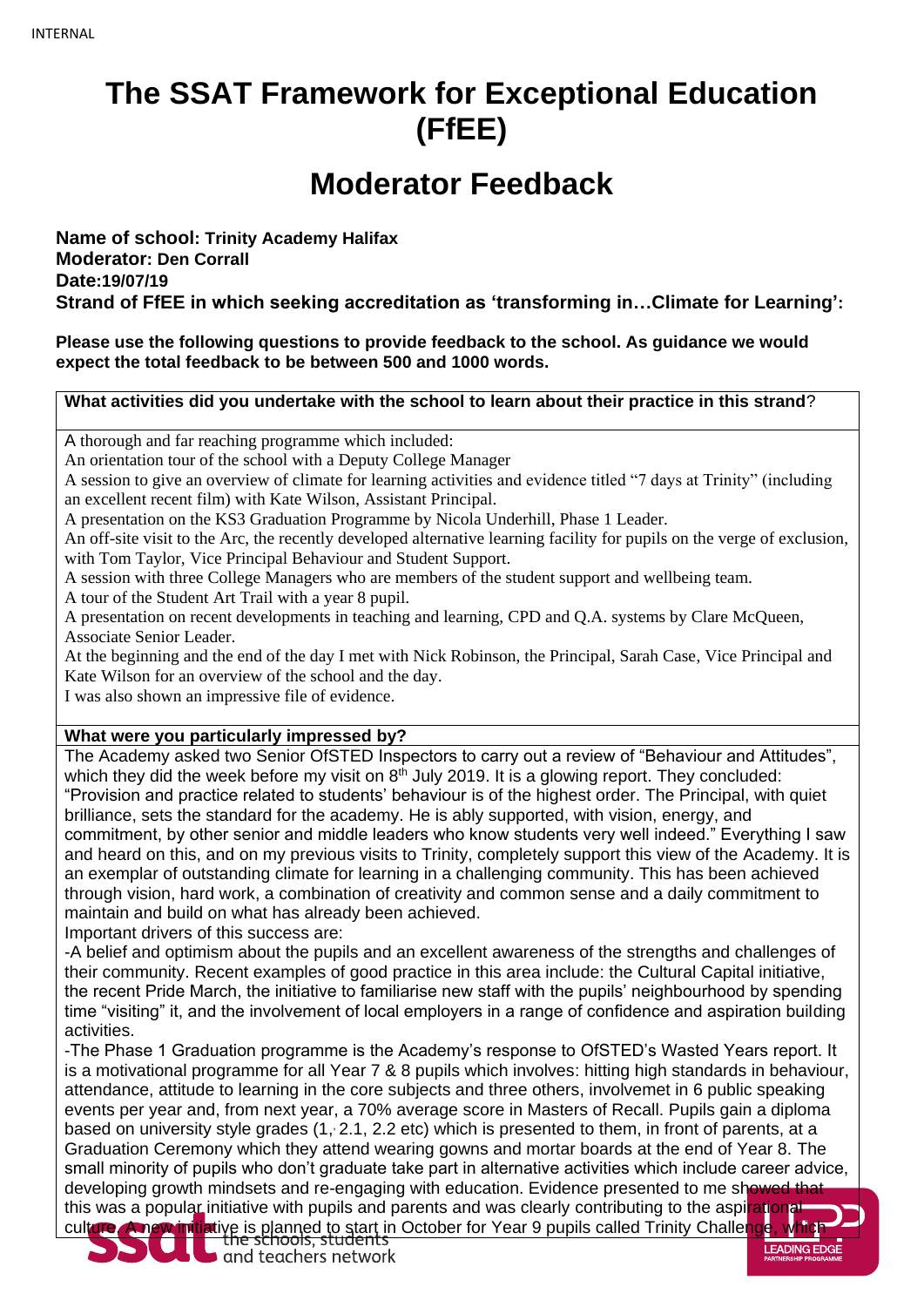## **The SSAT Framework for Exceptional Education (FfEE)**

## **Moderator Feedback**

**Name of school: Trinity Academy Halifax Moderator: Den Corrall Date:19/07/19 Strand of FfEE in which seeking accreditation as 'transforming in…Climate for Learning':**

**Please use the following questions to provide feedback to the school. As guidance we would expect the total feedback to be between 500 and 1000 words.**

**What activities did you undertake with the school to learn about their practice in this strand**?

A thorough and far reaching programme which included:

An orientation tour of the school with a Deputy College Manager

A session to give an overview of climate for learning activities and evidence titled "7 days at Trinity" (including an excellent recent film) with Kate Wilson, Assistant Principal.

A presentation on the KS3 Graduation Programme by Nicola Underhill, Phase 1 Leader.

An off-site visit to the Arc, the recently developed alternative learning facility for pupils on the verge of exclusion, with Tom Taylor, Vice Principal Behaviour and Student Support.

A session with three College Managers who are members of the student support and wellbeing team.

A tour of the Student Art Trail with a year 8 pupil.

A presentation on recent developments in teaching and learning, CPD and Q.A. systems by Clare McQueen, Associate Senior Leader.

At the beginning and the end of the day I met with Nick Robinson, the Principal, Sarah Case, Vice Principal and Kate Wilson for an overview of the school and the day.

I was also shown an impressive file of evidence.

#### **What were you particularly impressed by?**

The Academy asked two Senior OfSTED Inspectors to carry out a review of "Behaviour and Attitudes", which they did the week before my visit on  $8<sup>th</sup>$  July 2019. It is a glowing report. They concluded: "Provision and practice related to students' behaviour is of the highest order. The Principal, with quiet brilliance, sets the standard for the academy. He is ably supported, with vision, energy, and commitment, by other senior and middle leaders who know students very well indeed." Everything I saw and heard on this, and on my previous visits to Trinity, completely support this view of the Academy. It is an exemplar of outstanding climate for learning in a challenging community. This has been achieved through vision, hard work, a combination of creativity and common sense and a daily commitment to maintain and build on what has already been achieved.

Important drivers of this success are:

-A belief and optimism about the pupils and an excellent awareness of the strengths and challenges of their community. Recent examples of good practice in this area include: the Cultural Capital initiative, the recent Pride March, the initiative to familiarise new staff with the pupils' neighbourhood by spending time "visiting" it, and the involvement of local employers in a range of confidence and aspiration building activities.

-The Phase 1 Graduation programme is the Academy's response to OfSTED's Wasted Years report. It is a motivational programme for all Year 7 & 8 pupils which involves: hitting high standards in behaviour, attendance, attitude to learning in the core subjects and three others, involvemet in 6 public speaking events per year and, from next year, a 70% average score in Masters of Recall. Pupils gain a diploma based on university style grades (1, 2.1, 2.2 etc) which is presented to them, in front of parents, at a Graduation Ceremony which they attend wearing gowns and mortar boards at the end of Year 8. The small minority of pupils who don't graduate take part in alternative activities which include career advice, developing growth mindsets and re-engaging with education. Evidence presented to me showed that this was a popular initiative with pupils and parents and was clearly contributing to the aspirational

culture. A new initiative is planned to start in October for Year 9 pupils called Trinity Challenge, which<br>the schools, students<br>and teachers network

LEADING EDGE

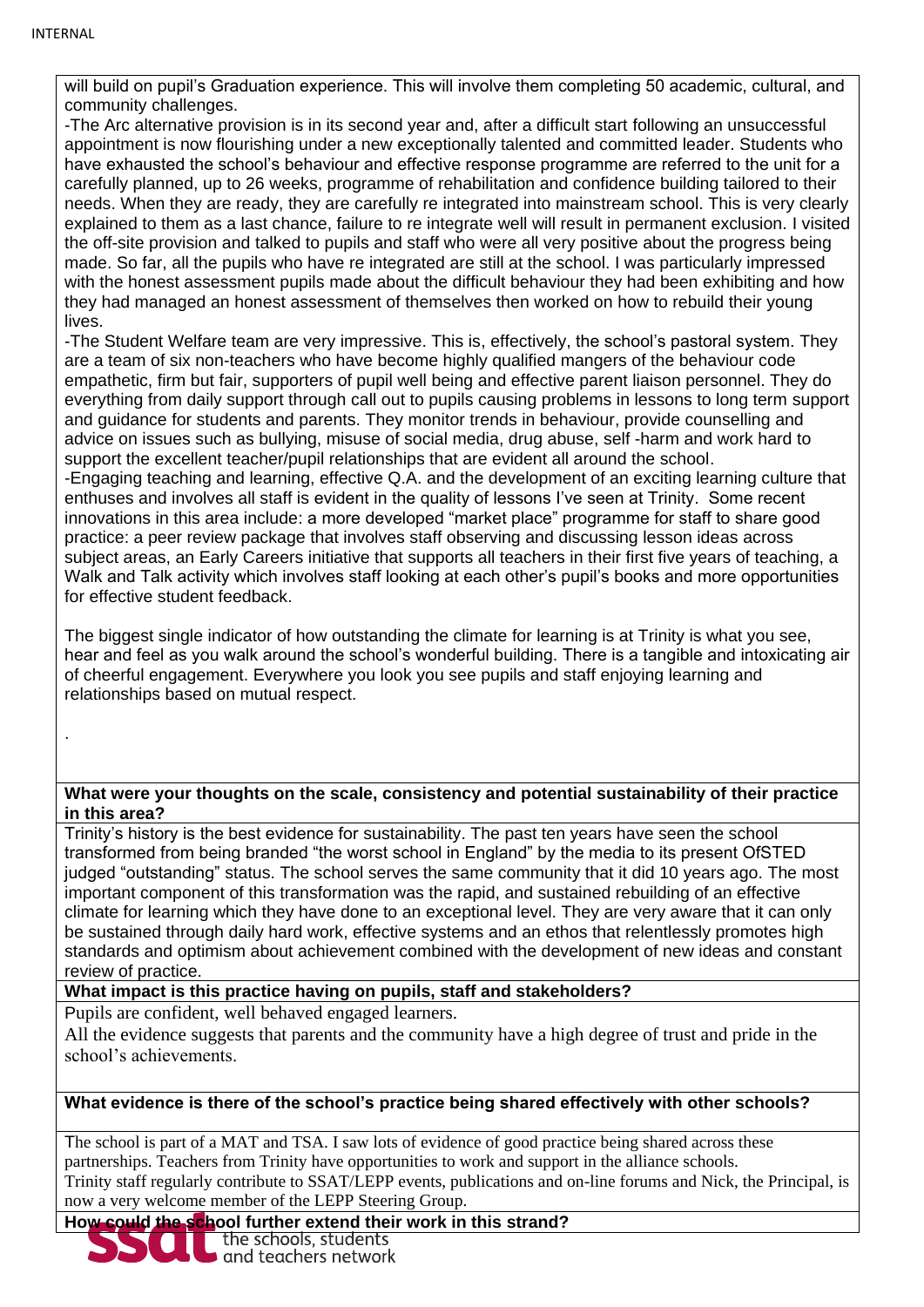.

will build on pupil's Graduation experience. This will involve them completing 50 academic, cultural, and community challenges.

-The Arc alternative provision is in its second year and, after a difficult start following an unsuccessful appointment is now flourishing under a new exceptionally talented and committed leader. Students who have exhausted the school's behaviour and effective response programme are referred to the unit for a carefully planned, up to 26 weeks, programme of rehabilitation and confidence building tailored to their needs. When they are ready, they are carefully re integrated into mainstream school. This is very clearly explained to them as a last chance, failure to re integrate well will result in permanent exclusion. I visited the off-site provision and talked to pupils and staff who were all very positive about the progress being made. So far, all the pupils who have re integrated are still at the school. I was particularly impressed with the honest assessment pupils made about the difficult behaviour they had been exhibiting and how they had managed an honest assessment of themselves then worked on how to rebuild their young lives.

-The Student Welfare team are very impressive. This is, effectively, the school's pastoral system. They are a team of six non-teachers who have become highly qualified mangers of the behaviour code empathetic, firm but fair, supporters of pupil well being and effective parent liaison personnel. They do everything from daily support through call out to pupils causing problems in lessons to long term support and guidance for students and parents. They monitor trends in behaviour, provide counselling and advice on issues such as bullying, misuse of social media, drug abuse, self -harm and work hard to support the excellent teacher/pupil relationships that are evident all around the school. -Engaging teaching and learning, effective Q.A. and the development of an exciting learning culture that enthuses and involves all staff is evident in the quality of lessons I've seen at Trinity. Some recent innovations in this area include: a more developed "market place" programme for staff to share good practice: a peer review package that involves staff observing and discussing lesson ideas across subject areas, an Early Careers initiative that supports all teachers in their first five years of teaching, a Walk and Talk activity which involves staff looking at each other's pupil's books and more opportunities for effective student feedback.

The biggest single indicator of how outstanding the climate for learning is at Trinity is what you see, hear and feel as you walk around the school's wonderful building. There is a tangible and intoxicating air of cheerful engagement. Everywhere you look you see pupils and staff enjoying learning and relationships based on mutual respect.

#### **What were your thoughts on the scale, consistency and potential sustainability of their practice in this area?**

Trinity's history is the best evidence for sustainability. The past ten years have seen the school transformed from being branded "the worst school in England" by the media to its present OfSTED judged "outstanding" status. The school serves the same community that it did 10 years ago. The most important component of this transformation was the rapid, and sustained rebuilding of an effective climate for learning which they have done to an exceptional level. They are very aware that it can only be sustained through daily hard work, effective systems and an ethos that relentlessly promotes high standards and optimism about achievement combined with the development of new ideas and constant review of practice.

**What impact is this practice having on pupils, staff and stakeholders?**

Pupils are confident, well behaved engaged learners.

All the evidence suggests that parents and the community have a high degree of trust and pride in the school's achievements.

### **What evidence is there of the school's practice being shared effectively with other schools?**

The school is part of a MAT and TSA. I saw lots of evidence of good practice being shared across these partnerships. Teachers from Trinity have opportunities to work and support in the alliance schools. Trinity staff regularly contribute to SSAT/LEPP events, publications and on-line forums and Nick, the Principal, is now a very welcome member of the LEPP Steering Group.

# **How could the school further extend their work in this strand?**<br>The schools, students<br>and teachers network